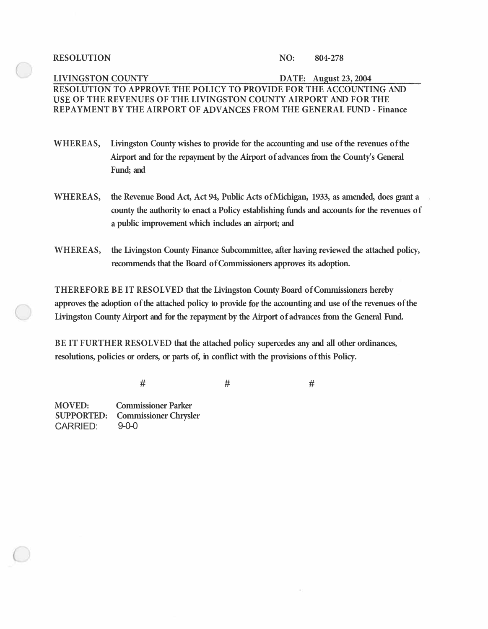RESOLUTION NO: 804-278

## **LIVINGSTON COUNTY DATE: August 23, 2004 RESOLUTION TO APPROVE THE POLICY TO PROVIDE FOR THE ACCOUNTING AND USE OF THE REVENUES OF THE LIVINGSTON COUNTY AIRPORT AND FOR THE REPAYMENT BY THE AIRPORT OF ADVANCES FROM THE GENERAL FUND - Finance**

- **WHEREAS, Livingston County wishes to provide for the accounting and use of the revenues of the Airport and for the repayment by the Airport of advances from the County's General Fund; and**
- **WHEREAS, the Revenue Bond Act, Act 94, Public Acts of Michigan, 1933, as amended, does grant a county the authority to enact a Policy establishing funds and accounts for the revenues of a public improvement which includes an airport; and**
- **WHEREAS, the Livingston County Finance Subcommittee, after having reviewed the attached policy, recommends that the Board of Commissioners approves its adoption.**

**THEREFORE BE IT RESOLVED that the Livingston County Board of Commissioners hereby approves the adoption of the attached policy to provide for the accounting and use of the revenues of the Livingston County Airport and for the repayment by the Airport of advances from the General Fund.** 

**BE IT FURTHER RESOLVED that the attached policy supercedes any and all other ordinances, resolutions, policies or orders, or parts of, in conflict with the provisions of this Policy.** 

# #

**MOVED: Commissioner Parker SUPPORTED: Commissioner Chrysler**  CARRIED:

#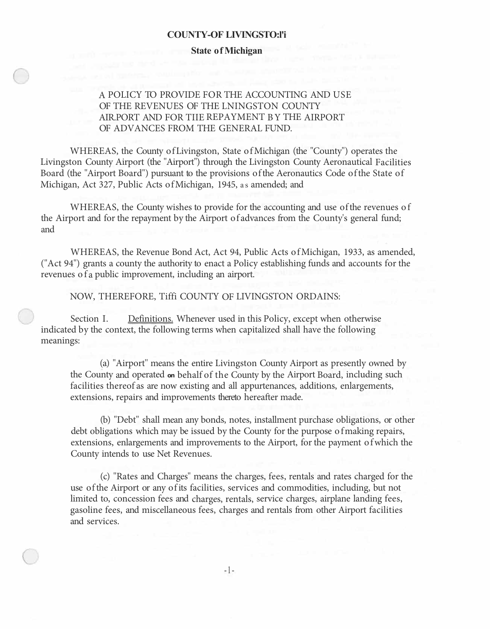#### **COUNTY-OF LIVINGSTO:l'i**

#### **State of Michigan**

A POLICY TO PROVIDE FOR THE ACCOUNTING AND USE OF THE REVENUES OF THE LNINGSTON COUNTY AIR.PORT AND FOR TIIE REPAYMENT BY THE AIRPORT OF ADVANCES FROM THE GENERAL FUND.

WHEREAS, the County of Livingston, State of Michigan (the "County") operates the Livingston County Airport (the "Airport") through the Livingston County Aeronautical Facilities Board (the "Airport Board") pursuant to the provisions of the Aeronautics Code of the State of Michigan, Act 327, Public Acts of Michigan, 1945, as amended; and

WHEREAS, the County wishes to provide for the accounting and use of the revenues o f the Airport and for the repayment by the Airport of advances from the County's general fund; and

WHEREAS, the Revenue Bond Act, Act 94, Public Acts of Michigan, 1933, as amended, ("Act 94") grants a county the authority to enact a Policy establishing funds and accounts for the revenues of a public improvement, including an airport.

NOW, THEREFORE, Tiffi COUNTY OF LIVINGSTON ORDAINS:

Section I. Definitions. Whenever used in this Policy, except when otherwise indicated by the context, the following terms when capitalized shall have the following meanings:

(a) "Airport'' means the entire Livingston County Airport as presently owned by the County and operated **on** behalf of the County by the Airport Board, including such facilities thereof as are now existing and all appurtenances, additions, enlargements, extensions, repairs and improvements thereto hereafter made.

(b) "Debt" shall mean any bonds, notes, installment purchase obligations, or other debt obligations which may be issued by the County for the purpose of making repairs, extensions, enlargements and improvements to the Airport, for the payment of which the County intends to use Net Revenues.

( c) "Rates and Charges" means the charges, fees, rentals and rates charged for the use of the Airport or any of its facilities, services and commodities, including, but not limited to, concession fees and charges, rentals, service charges, airplane landing fees, gasoline fees, and miscellaneous fees, charges and rentals from other Airport facilities and services.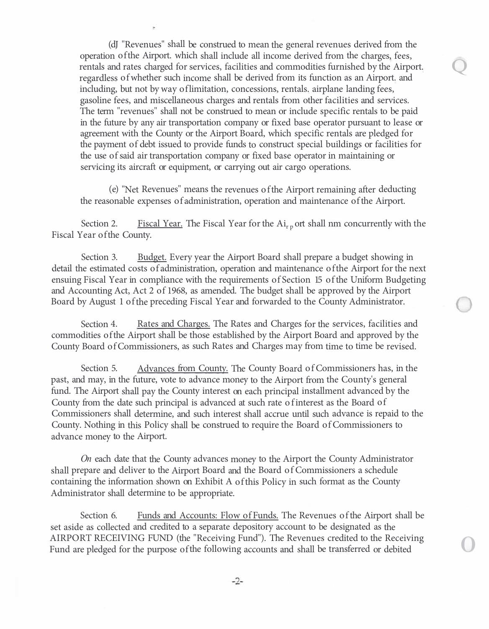(dJ "Revenues" shall be construed to mean the general revenues derived from the operation of the Airport. which shall include all income derived from the charges, fees, rentals and rates charged for services, facilities and commodities furnished by the Airport. regardless of whether such income shall be derived from its function as an Airport. and including, but not by way of limitation, concessions, rentals. airplane landing fees, gasoline fees, and miscellaneous charges and rentals from other facilities and services. The term "revenues" shall not be construed to mean or include specific rentals to be paid in the future by any air transportation company or fixed base operator pursuant to lease or agreement with the County or the Airport Board, which specific rentals are pledged for the payment of debt issued to provide funds to construct special buildings or facilities for the use of said air transportation company or fixed base operator in maintaining or servicing its aircraft or equipment, or carrying out air cargo operations.

( e) ''Net Revenues" means the revenues of the Airport remaining after deducting the reasonable expenses of administration, operation and maintenance of the Airport.

Section 2. Fiscal Year. The Fiscal Year for the  $Ai_{r,p}$  ort shall nm concurrently with the Fiscal Year of the County.

Section 3. Budget. Every year the Airport Board shall prepare a budget showing in detail the estimated costs of administration, operation and maintenance of the Airport for the next ensuing Fiscal Year in compliance with the requirements of Section 15 of the Uniform Budgeting and Accounting Act, Act 2 of 1968, as amended. The budget shall be approved by the Airport Board by August 1 of the preceding Fiscal Year and forwarded to the County Administrator.

Section 4. Rates and Charges. The Rates and Charges for the services, facilities and commodities of the Airport shall be those established by the Airport Board and approved by the County Board of Commissioners, as such Rates and Charges may from time to time be revised.

Section 5. Advances from County. The County Board of Commissioners has, in the past, and may, in the future, vote to advance money to the Airport from the County's general fund. The Airport shall pay the County interest on each principal installment advanced by the County from the date such principal is advanced at such rate of interest as the Board of Commissioners shall determine, and such interest shall accrue until such advance is repaid to the County. Nothing in this Policy shall be construed to require the Board of Commissioners to advance money to the Airport.

*On* each date that the County advances money to the Airport the County Administrator shall prepare and deliver to the Airport Board and the Board of Commissioners a schedule containing the information shown on Exhibit A of this Policy in such format as the County Administrator shall determine to be appropriate.

Section 6. Funds and Accounts: Flow of Funds. The Revenues of the Airport shall be set aside as collected and credited to a separate depository account to be designated as the AIRPORT RECEIVING FUND (the "Receiving Fund"). The Revenues credited to the Receiving Fund are pledged for the purpose of the following accounts and shall be transferred or debited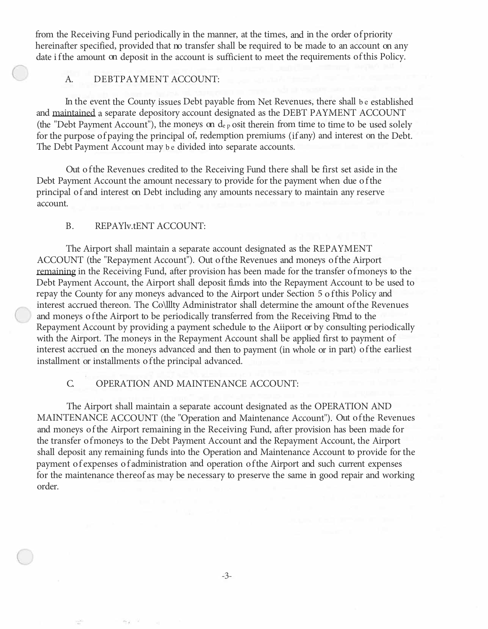from the Receiving Fund periodically in the manner, at the times, and in the order of priority hereinafter specified, provided that no transfer shall be required to be made to an account on any date if the amount on deposit in the account is sufficient to meet the requirements of this Policy.

## A. DEBTPAYMENT ACCOUNT:

In the event the County issues Debt payable from Net Revenues, there shall be established and maintained a separate depository account designated as the DEBT PAYMENT ACCOUNT (the "Debt Payment Account"), the moneys on de p osit therein from time to time to be used solely for the purpose of paying the principal of, redemption premiums (if any) and interest on the Debt. The Debt Payment Account may be divided into separate accounts.

Out of the Revenues credited to the Receiving Fund there shall be first set aside in the Debt Payment Account the amount necessary to provide for the payment when due of the principal of and interest on Debt including any amounts necessary to maintain any reserve account.

### B. REPAYlv.tENT ACCOUNT:

The Airport shall maintain a separate account designated as the REPAYMENT ACCOUNT (the "Repayment Account"). Out of the Revenues and moneys of the Airport remaining in the Receiving Fund, after provision has been made for the transfer of moneys to the Debt Payment Account, the Airport shall deposit fi.mds into the Repayment Account to be used to repay the County for any moneys advanced to the Airport under Section 5 of this Policy and interest accrued thereon. The Co\lllty Administrator shall determine the amount of the Revenues and moneys of the Airport to be periodically transferred from the Receiving Ftm.d to the Repayment Account by providing a payment schedule to the Aiiport or by consulting periodically with the Airport. The moneys in the Repayment Account shall be applied first to payment of interest accrued on the moneys advanced and then to payment (in whole or in part) of the earliest installment or installments of the principal advanced.

## C. OPERATION AND MAINTENANCE ACCOUNT:

The Airport shall maintain a separate account designated as the OPERATION AND MAINTENANCE ACCOUNT (the "Operation and Maintenance Account"). Out of the Revenues and moneys of the Airport remaining in the Receiving Fund, after provision has been made for the transfer of moneys to the Debt Payment Account and the Repayment Account, the Airport shall deposit any remaining funds into the Operation and Maintenance Account to provide for the payment of expenses of administration and operation of the Airport and such current expenses for the maintenance thereof as may be necessary to preserve the same in good repair and working order.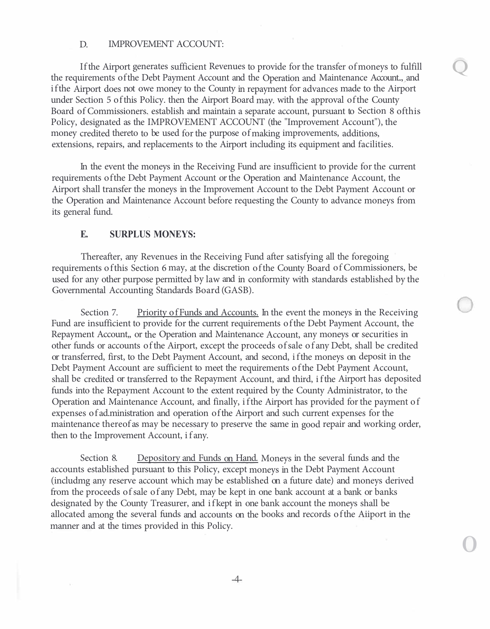## D. IMPROVEMENT ACCOUNT:

If the Airport generates sufficient Revenues to provide for the transfer of moneys to fulfill the requirements ofthe Debt Payment Account and the Operation and Maintenance Account.., and if the Airport does not owe money to the County in repayment for advances made to the Airport under Section 5 ofthis Policy. then the Airport Board may. with the approval of the County Board of Commissioners. establish and maintain a separate account, pursuant to Section 8 ofthis Policy, designated as the IMPROVEMENT ACCOUNT (the "Improvement Account"), the money credited thereto to be used for the purpose of making improvements, additions, extensions, repairs, and replacements to the Airport including its equipment and facilities.

In the event the moneys in the Receiving Fund are insufficient to provide for the current requirements ofthe Debt Payment Account or the Operation and Maintenance Account, the Airport shall transfer the moneys in the Improvement Account to the Debt Payment Account or the Operation and Maintenance Account before requesting the County to advance moneys from its general fund.

## **E. SURPLUS MONEYS:**

Thereafter, any Revenues in the Receiving Fund after satisfying all the foregoing requirements of this Section 6 may, at the discretion of the County Board of Commissioners, be used for any other purpose permitted by law and in conformity with standards established by the Governmental Accounting Standards Board (GASB).

Section 7. Priority of Funds and Accounts. In the event the moneys in the Receiving Fund are insufficient to provide for the current requirements of the Debt Payment Account, the Repayment Account,, or the Operation and Maintenance Account, any moneys or securities in other funds or accounts of the Airport, except the proceeds of sale of any Debt, shall be credited or transferred, first, to the Debt Payment Account, and second, if the moneys on deposit in the Debt Payment Account are sufficient to meet the requirements of the Debt Payment Account, shall be credited or transferred to the Repayment Account, and third, if the Airport has deposited funds into the Repayment Account to the extent required by the County Administrator, to the Operation and Maintenance Account, and finally, if the Airport has provided for the payment of expenses of ad.ministration and operation of the Airport and such current expenses for the maintenance thereof as may be necessary to preserve the same in good repair and working order, then to the Improvement Account, if any.

Section 8. Depository and Funds on Hand. Moneys in the several funds and the accounts established pursuant to this Policy, except moneys in the Debt Payment Account (includmg any reserve account which may be established on a future date) and moneys derived from the proceeds of sale of any Debt, may be kept in one bank account at a bank or banks designated by the County Treasurer, and if kept in one bank account the moneys shall be allocated among the several funds and accounts on the books and records of the Aiiport in the manner and at the times provided in this Policy.

0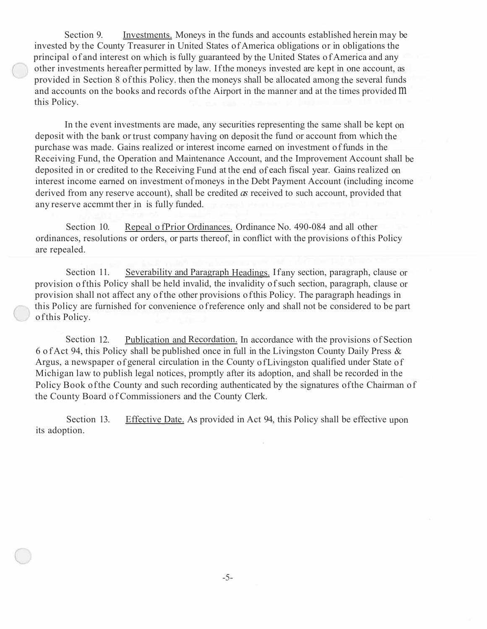Section 9. Investments. Moneys in the funds and accounts established herein may be invested by the County Treasurer in United States of America obligations or in obligations the principal of and interest on which is fully guaranteed by the United States of America and any other investments hereafter permitted by law. If the moneys invested are kept in one account, as provided in Section 8 of this Policy. then the moneys shall be allocated among the several funds and accounts on the books and records of the Airport in the manner and at the times provided m this Policy.

In the event investments are made, any securities representing the same shall be kept on deposit with the bank or trust company having on deposit the fund or account from which the purchase was made. Gains realized or interest income earned on investment of funds in the Receiving Fund, the Operation and Maintenance Account, and the Improvement Account shall be deposited in or credited to the Receiving Fund at the end of each fiscal year. Gains realized on interest income earned on investment of moneys in the Debt Payment Account (including income derived from any reserve account), shall be credited *as* received to such account, provided that any reserve accmmt ther in is fully funded.

Section 10. Repeal of Prior Ordinances. Ordinance No. 490-084 and all other ordinances, resolutions or orders, or parts thereof, in conflict with the provisions of this Policy are repealed.

Section 11. Severability and Paragraph Headings. If any section, paragraph, clause or provision of this Policy shall be held invalid, the invalidity of such section, paragraph, clause or provision shall not affect any of the other provisions of this Policy. The paragraph headings in this Policy are furnished for convenience of reference only and shall not be considered to be part of this Policy.

Section 12. Publication and Recordation. In accordance with the provisions of Section 6 of Act 94, this Policy shall be published once in full in the Livingston County Daily Press & Argus, a newspaper of general circulation in the County of Livingston qualified under State of Michigan law to publish legal notices, promptly after its adoption, and shall be recorded in the Policy Book of the County and such recording authenticated by the signatures of the Chairman of the County Board of Commissioners and the County Clerk.

Section 13. Effective Date. As provided in Act 94, this Policy shall be effective upon its adoption.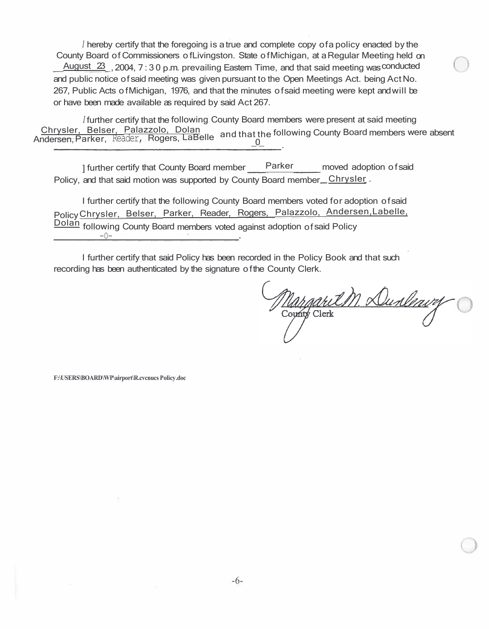*<sup>1</sup>*hereby certify that the foregoing is a true and complete copy of a policy enacted by the County Board of Commissioners of Livingston. State of Michigan, at a Regular Meeting held on  $\frac{\text{August 23}}{\text{2004}}$ , 2004, 7:30 p.m. prevailing Eastem Time, and that said meeting was conducted and public notice of said meeting was given pursuant to the Open Meetings Act. being Act No. 267, Public Acts of Michigan, 1976, and that the minutes of said meeting were kept and will be or have been made available as required by said Act 267.

*<sup>I</sup>*further certify that the following County Board members were present at said meeting Andersen, Chrysler, Belser, Palazzolo, Dolan and that the following County Board members were absent<br>ndersen, Parker, Reader, Rogers, LaBelle and that the following County Board members were absent  $\frac{0}{2}$ .

] further certify that County Board member Parker moved adoption of said Policy, and that said motion was supported by County Board member Chrysler.

I further certify that the following County Board members voted for adoption of said Policy Chrysler, Belser, Parker, Reader, Rogers, Palazzolo, Andersen,Labelle, Dolan following County Board members voted against adoption of said Policy -0-

I further certify that said Policy has been recorded in the Policy Book and that such recording has been authenticated by the signature of the County Clerk.

Margaret M. Dunleavy

**F:\USERS\BOARD\WP\airport\R.cvcnucs Policy .doc**